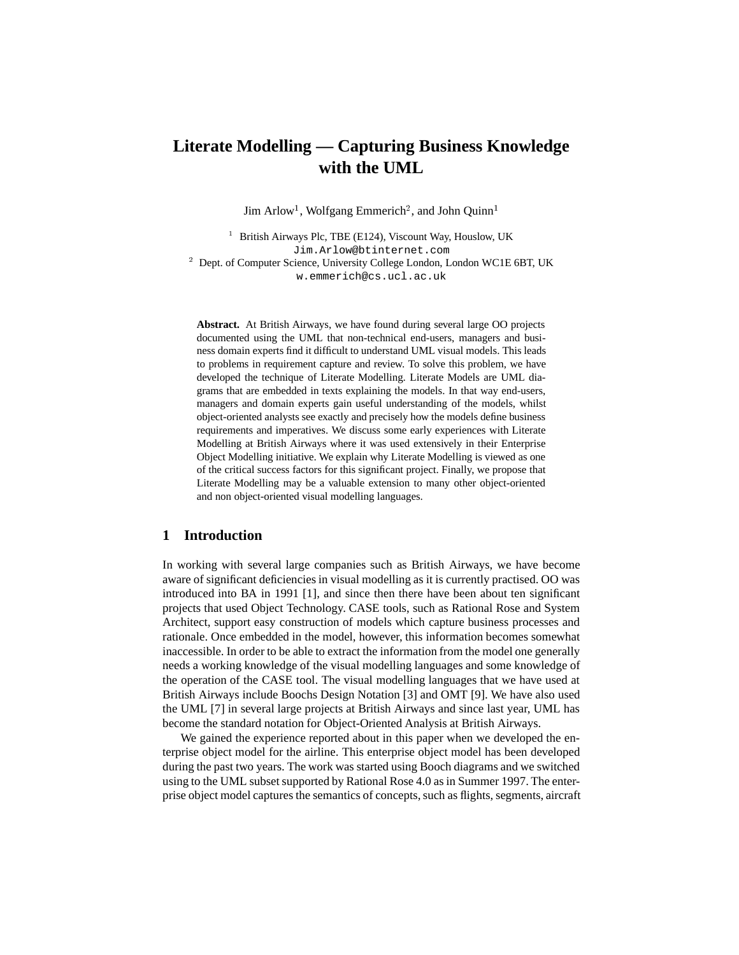# **Literate Modelling — Capturing Business Knowledge with the UML**

Jim Arlow<sup>1</sup>, Wolfgang Emmerich<sup>2</sup>, and John Quinn<sup>1</sup>

<sup>1</sup> British Airways Plc, TBE (E124), Viscount Way, Houslow, UK Jim.Arlow@btinternet.com <sup>2</sup> Dept. of Computer Science, University College London, London WC1E 6BT, UK w.emmerich@cs.ucl.ac.uk

**Abstract.** At British Airways, we have found during several large OO projects documented using the UML that non-technical end-users, managers and business domain experts find it difficult to understand UML visual models. This leads to problems in requirement capture and review. To solve this problem, we have developed the technique of Literate Modelling. Literate Models are UML diagrams that are embedded in texts explaining the models. In that way end-users, managers and domain experts gain useful understanding of the models, whilst object-oriented analysts see exactly and precisely how the models define business requirements and imperatives. We discuss some early experiences with Literate Modelling at British Airways where it was used extensively in their Enterprise Object Modelling initiative. We explain why Literate Modelling is viewed as one of the critical success factors for this significant project. Finally, we propose that Literate Modelling may be a valuable extension to many other object-oriented and non object-oriented visual modelling languages.

# **1 Introduction**

In working with several large companies such as British Airways, we have become aware of significant deficiencies in visual modelling as it is currently practised. OO was introduced into BA in 1991 [1], and since then there have been about ten significant projects that used Object Technology. CASE tools, such as Rational Rose and System Architect, support easy construction of models which capture business processes and rationale. Once embedded in the model, however, this information becomes somewhat inaccessible. In order to be able to extract the information from the model one generally needs a working knowledge of the visual modelling languages and some knowledge of the operation of the CASE tool. The visual modelling languages that we have used at British Airways include Boochs Design Notation [3] and OMT [9]. We have also used the UML [7] in several large projects at British Airways and since last year, UML has become the standard notation for Object-Oriented Analysis at British Airways.

We gained the experience reported about in this paper when we developed the enterprise object model for the airline. This enterprise object model has been developed during the past two years. The work was started using Booch diagrams and we switched using to the UML subset supported by Rational Rose 4.0 as in Summer 1997. The enterprise object model captures the semantics of concepts, such as flights, segments, aircraft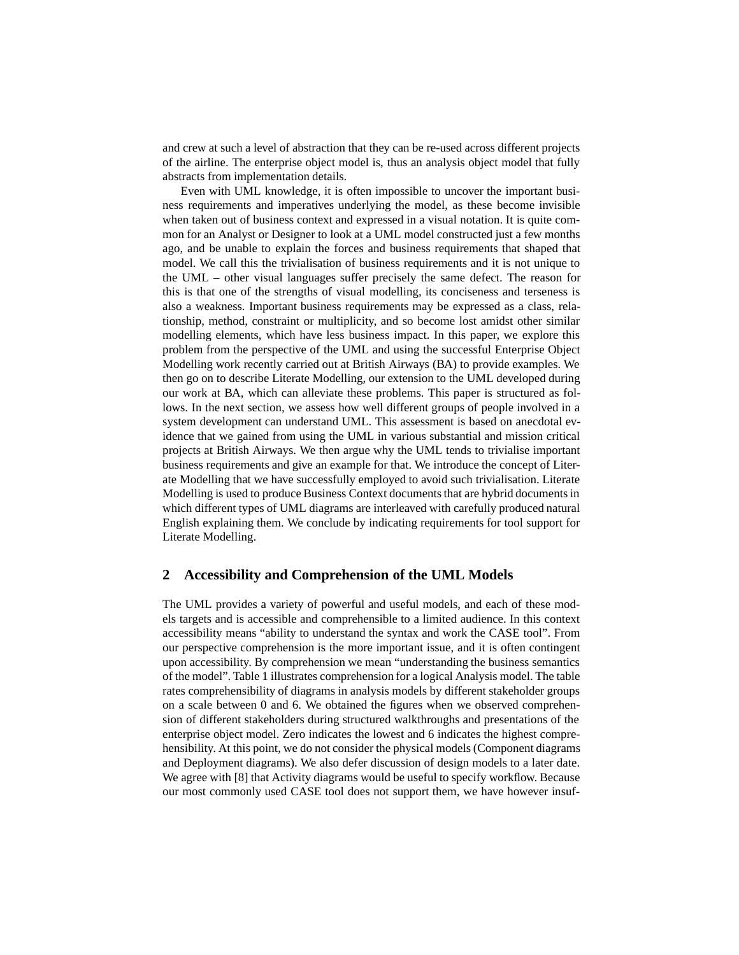and crew at such a level of abstraction that they can be re-used across different projects of the airline. The enterprise object model is, thus an analysis object model that fully abstracts from implementation details.

Even with UML knowledge, it is often impossible to uncover the important business requirements and imperatives underlying the model, as these become invisible when taken out of business context and expressed in a visual notation. It is quite common for an Analyst or Designer to look at a UML model constructed just a few months ago, and be unable to explain the forces and business requirements that shaped that model. We call this the trivialisation of business requirements and it is not unique to the UML – other visual languages suffer precisely the same defect. The reason for this is that one of the strengths of visual modelling, its conciseness and terseness is also a weakness. Important business requirements may be expressed as a class, relationship, method, constraint or multiplicity, and so become lost amidst other similar modelling elements, which have less business impact. In this paper, we explore this problem from the perspective of the UML and using the successful Enterprise Object Modelling work recently carried out at British Airways (BA) to provide examples. We then go on to describe Literate Modelling, our extension to the UML developed during our work at BA, which can alleviate these problems. This paper is structured as follows. In the next section, we assess how well different groups of people involved in a system development can understand UML. This assessment is based on anecdotal evidence that we gained from using the UML in various substantial and mission critical projects at British Airways. We then argue why the UML tends to trivialise important business requirements and give an example for that. We introduce the concept of Literate Modelling that we have successfully employed to avoid such trivialisation. Literate Modelling is used to produce Business Context documents that are hybrid documents in which different types of UML diagrams are interleaved with carefully produced natural English explaining them. We conclude by indicating requirements for tool support for Literate Modelling.

## **2 Accessibility and Comprehension of the UML Models**

The UML provides a variety of powerful and useful models, and each of these models targets and is accessible and comprehensible to a limited audience. In this context accessibility means "ability to understand the syntax and work the CASE tool". From our perspective comprehension is the more important issue, and it is often contingent upon accessibility. By comprehension we mean "understanding the business semantics of the model". Table 1 illustrates comprehension for a logical Analysis model. The table rates comprehensibility of diagrams in analysis models by different stakeholder groups on a scale between 0 and 6. We obtained the figures when we observed comprehension of different stakeholders during structured walkthroughs and presentations of the enterprise object model. Zero indicates the lowest and 6 indicates the highest comprehensibility. At this point, we do not consider the physical models (Component diagrams and Deployment diagrams). We also defer discussion of design models to a later date. We agree with [8] that Activity diagrams would be useful to specify workflow. Because our most commonly used CASE tool does not support them, we have however insuf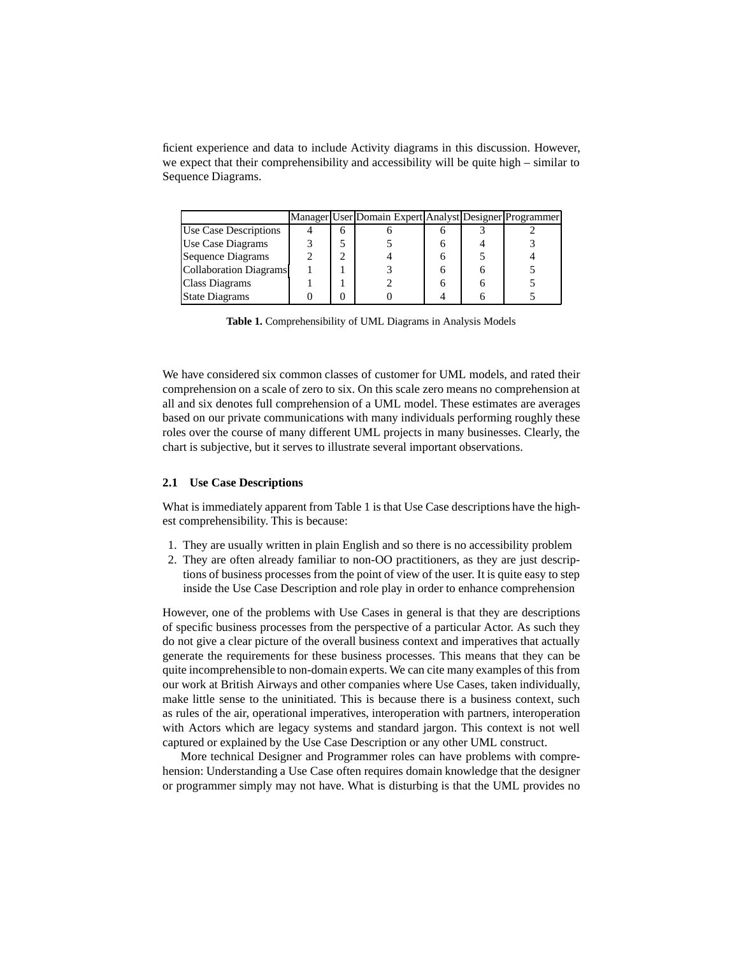ficient experience and data to include Activity diagrams in this discussion. However, we expect that their comprehensibility and accessibility will be quite high – similar to Sequence Diagrams.

|                               |   | Manager User Domain Expert Analyst Designer Programmer |  |  |
|-------------------------------|---|--------------------------------------------------------|--|--|
| Use Case Descriptions         | n |                                                        |  |  |
| Use Case Diagrams             |   |                                                        |  |  |
| Sequence Diagrams             |   |                                                        |  |  |
| <b>Collaboration Diagrams</b> |   |                                                        |  |  |
| <b>Class Diagrams</b>         |   |                                                        |  |  |
| <b>State Diagrams</b>         |   |                                                        |  |  |

**Table 1.** Comprehensibility of UML Diagrams in Analysis Models

We have considered six common classes of customer for UML models, and rated their comprehension on a scale of zero to six. On this scale zero means no comprehension at all and six denotes full comprehension of a UML model. These estimates are averages based on our private communications with many individuals performing roughly these roles over the course of many different UML projects in many businesses. Clearly, the chart is subjective, but it serves to illustrate several important observations.

#### **2.1 Use Case Descriptions**

What is immediately apparent from Table 1 is that Use Case descriptions have the highest comprehensibility. This is because:

- 1. They are usually written in plain English and so there is no accessibility problem
- 2. They are often already familiar to non-OO practitioners, as they are just descriptions of business processes from the point of view of the user. It is quite easy to step inside the Use Case Description and role play in order to enhance comprehension

However, one of the problems with Use Cases in general is that they are descriptions of specific business processes from the perspective of a particular Actor. As such they do not give a clear picture of the overall business context and imperatives that actually generate the requirements for these business processes. This means that they can be quite incomprehensible to non-domain experts. We can cite many examples of this from our work at British Airways and other companies where Use Cases, taken individually, make little sense to the uninitiated. This is because there is a business context, such as rules of the air, operational imperatives, interoperation with partners, interoperation with Actors which are legacy systems and standard jargon. This context is not well captured or explained by the Use Case Description or any other UML construct.

More technical Designer and Programmer roles can have problems with comprehension: Understanding a Use Case often requires domain knowledge that the designer or programmer simply may not have. What is disturbing is that the UML provides no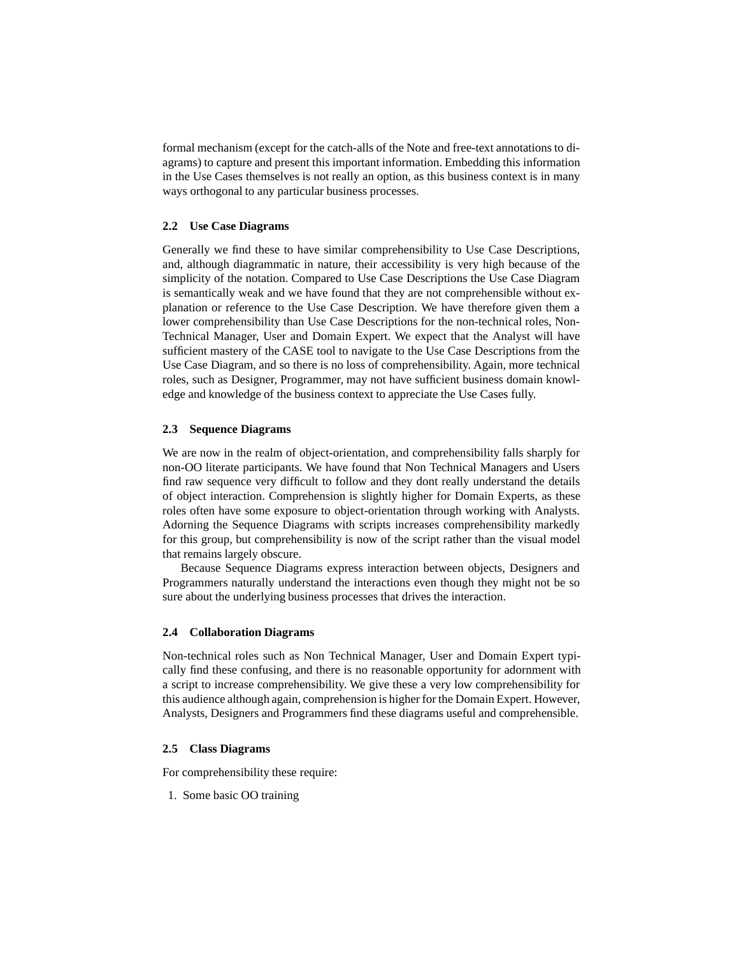formal mechanism (except for the catch-alls of the Note and free-text annotations to diagrams) to capture and present this important information. Embedding this information in the Use Cases themselves is not really an option, as this business context is in many ways orthogonal to any particular business processes.

#### **2.2 Use Case Diagrams**

Generally we find these to have similar comprehensibility to Use Case Descriptions, and, although diagrammatic in nature, their accessibility is very high because of the simplicity of the notation. Compared to Use Case Descriptions the Use Case Diagram is semantically weak and we have found that they are not comprehensible without explanation or reference to the Use Case Description. We have therefore given them a lower comprehensibility than Use Case Descriptions for the non-technical roles, Non-Technical Manager, User and Domain Expert. We expect that the Analyst will have sufficient mastery of the CASE tool to navigate to the Use Case Descriptions from the Use Case Diagram, and so there is no loss of comprehensibility. Again, more technical roles, such as Designer, Programmer, may not have sufficient business domain knowledge and knowledge of the business context to appreciate the Use Cases fully.

#### **2.3 Sequence Diagrams**

We are now in the realm of object-orientation, and comprehensibility falls sharply for non-OO literate participants. We have found that Non Technical Managers and Users find raw sequence very difficult to follow and they dont really understand the details of object interaction. Comprehension is slightly higher for Domain Experts, as these roles often have some exposure to object-orientation through working with Analysts. Adorning the Sequence Diagrams with scripts increases comprehensibility markedly for this group, but comprehensibility is now of the script rather than the visual model that remains largely obscure.

Because Sequence Diagrams express interaction between objects, Designers and Programmers naturally understand the interactions even though they might not be so sure about the underlying business processes that drives the interaction.

#### **2.4 Collaboration Diagrams**

Non-technical roles such as Non Technical Manager, User and Domain Expert typically find these confusing, and there is no reasonable opportunity for adornment with a script to increase comprehensibility. We give these a very low comprehensibility for this audience although again, comprehension is higher for the Domain Expert. However, Analysts, Designers and Programmers find these diagrams useful and comprehensible.

### **2.5 Class Diagrams**

For comprehensibility these require:

1. Some basic OO training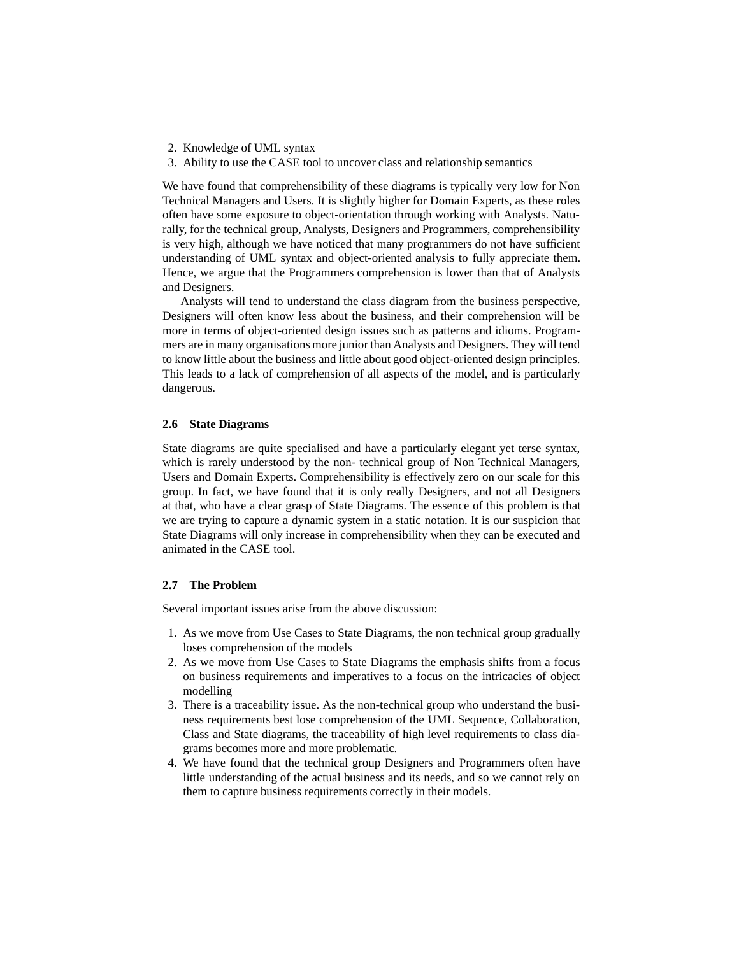- 2. Knowledge of UML syntax
- 3. Ability to use the CASE tool to uncover class and relationship semantics

We have found that comprehensibility of these diagrams is typically very low for Non Technical Managers and Users. It is slightly higher for Domain Experts, as these roles often have some exposure to object-orientation through working with Analysts. Naturally, for the technical group, Analysts, Designers and Programmers, comprehensibility is very high, although we have noticed that many programmers do not have sufficient understanding of UML syntax and object-oriented analysis to fully appreciate them. Hence, we argue that the Programmers comprehension is lower than that of Analysts and Designers.

Analysts will tend to understand the class diagram from the business perspective, Designers will often know less about the business, and their comprehension will be more in terms of object-oriented design issues such as patterns and idioms. Programmers are in many organisations more junior than Analysts and Designers. They will tend to know little about the business and little about good object-oriented design principles. This leads to a lack of comprehension of all aspects of the model, and is particularly dangerous.

#### **2.6 State Diagrams**

State diagrams are quite specialised and have a particularly elegant yet terse syntax, which is rarely understood by the non- technical group of Non Technical Managers, Users and Domain Experts. Comprehensibility is effectively zero on our scale for this group. In fact, we have found that it is only really Designers, and not all Designers at that, who have a clear grasp of State Diagrams. The essence of this problem is that we are trying to capture a dynamic system in a static notation. It is our suspicion that State Diagrams will only increase in comprehensibility when they can be executed and animated in the CASE tool.

#### **2.7 The Problem**

Several important issues arise from the above discussion:

- 1. As we move from Use Cases to State Diagrams, the non technical group gradually loses comprehension of the models
- 2. As we move from Use Cases to State Diagrams the emphasis shifts from a focus on business requirements and imperatives to a focus on the intricacies of object modelling
- 3. There is a traceability issue. As the non-technical group who understand the business requirements best lose comprehension of the UML Sequence, Collaboration, Class and State diagrams, the traceability of high level requirements to class diagrams becomes more and more problematic.
- 4. We have found that the technical group Designers and Programmers often have little understanding of the actual business and its needs, and so we cannot rely on them to capture business requirements correctly in their models.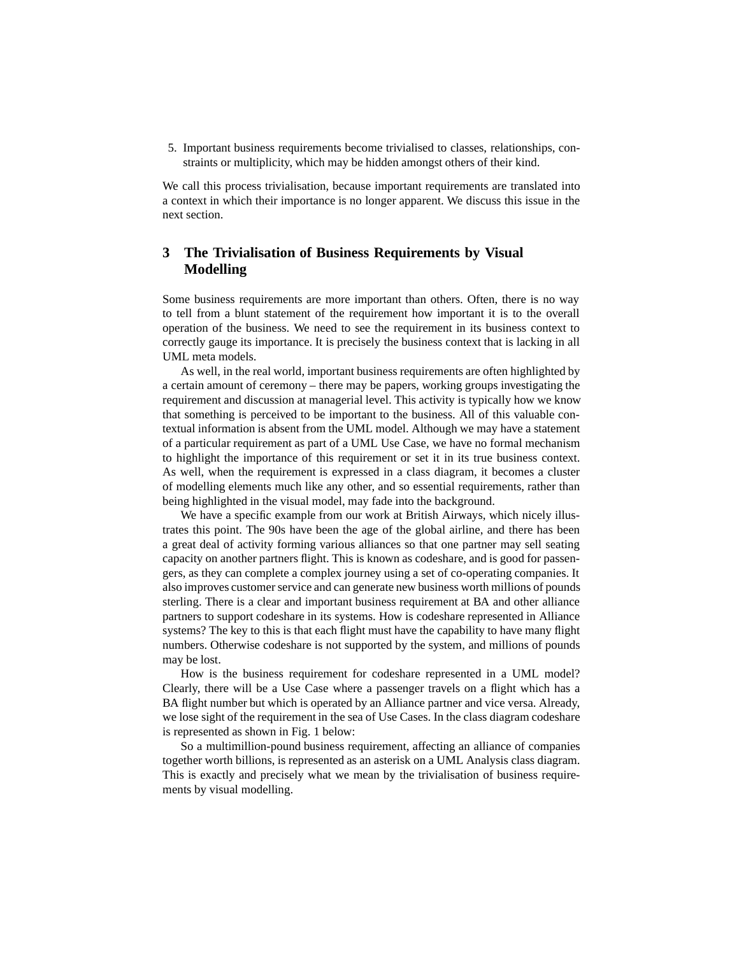5. Important business requirements become trivialised to classes, relationships, constraints or multiplicity, which may be hidden amongst others of their kind.

We call this process trivialisation, because important requirements are translated into a context in which their importance is no longer apparent. We discuss this issue in the next section.

# **3 The Trivialisation of Business Requirements by Visual Modelling**

Some business requirements are more important than others. Often, there is no way to tell from a blunt statement of the requirement how important it is to the overall operation of the business. We need to see the requirement in its business context to correctly gauge its importance. It is precisely the business context that is lacking in all UML meta models.

As well, in the real world, important business requirements are often highlighted by a certain amount of ceremony – there may be papers, working groups investigating the requirement and discussion at managerial level. This activity is typically how we know that something is perceived to be important to the business. All of this valuable contextual information is absent from the UML model. Although we may have a statement of a particular requirement as part of a UML Use Case, we have no formal mechanism to highlight the importance of this requirement or set it in its true business context. As well, when the requirement is expressed in a class diagram, it becomes a cluster of modelling elements much like any other, and so essential requirements, rather than being highlighted in the visual model, may fade into the background.

We have a specific example from our work at British Airways, which nicely illustrates this point. The 90s have been the age of the global airline, and there has been a great deal of activity forming various alliances so that one partner may sell seating capacity on another partners flight. This is known as codeshare, and is good for passengers, as they can complete a complex journey using a set of co-operating companies. It also improves customer service and can generate new business worth millions of pounds sterling. There is a clear and important business requirement at BA and other alliance partners to support codeshare in its systems. How is codeshare represented in Alliance systems? The key to this is that each flight must have the capability to have many flight numbers. Otherwise codeshare is not supported by the system, and millions of pounds may be lost.

How is the business requirement for codeshare represented in a UML model? Clearly, there will be a Use Case where a passenger travels on a flight which has a BA flight number but which is operated by an Alliance partner and vice versa. Already, we lose sight of the requirement in the sea of Use Cases. In the class diagram codeshare is represented as shown in Fig. 1 below:

So a multimillion-pound business requirement, affecting an alliance of companies together worth billions, is represented as an asterisk on a UML Analysis class diagram. This is exactly and precisely what we mean by the trivialisation of business requirements by visual modelling.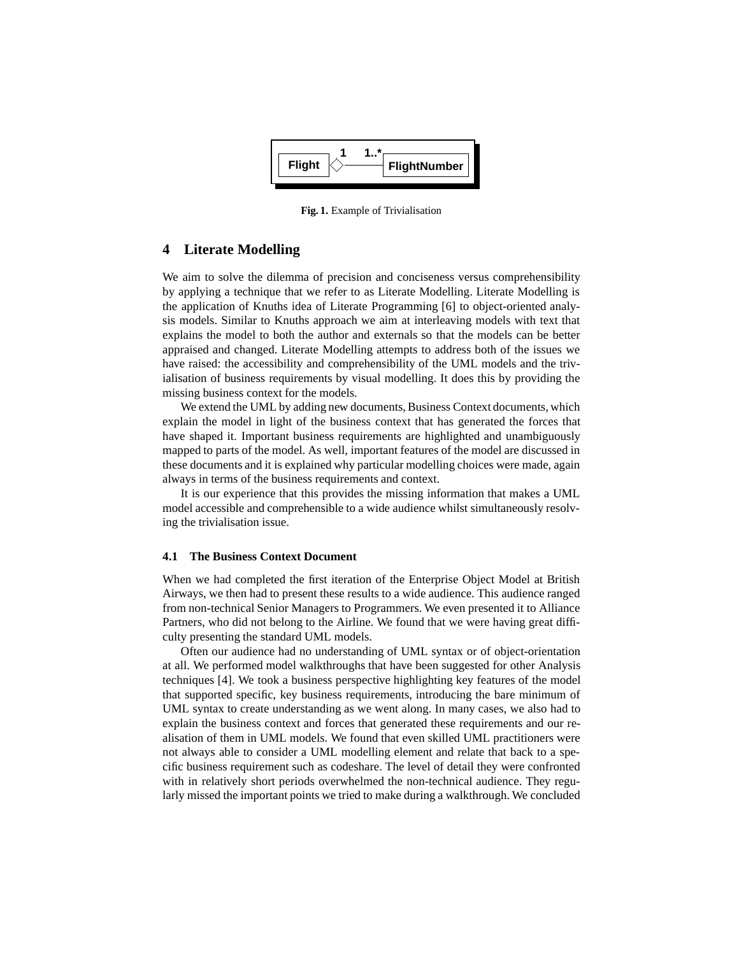

**Fig. 1.** Example of Trivialisation

## **4 Literate Modelling**

We aim to solve the dilemma of precision and conciseness versus comprehensibility by applying a technique that we refer to as Literate Modelling. Literate Modelling is the application of Knuths idea of Literate Programming [6] to object-oriented analysis models. Similar to Knuths approach we aim at interleaving models with text that explains the model to both the author and externals so that the models can be better appraised and changed. Literate Modelling attempts to address both of the issues we have raised: the accessibility and comprehensibility of the UML models and the trivialisation of business requirements by visual modelling. It does this by providing the missing business context for the models.

We extend the UML by adding new documents, Business Context documents, which explain the model in light of the business context that has generated the forces that have shaped it. Important business requirements are highlighted and unambiguously mapped to parts of the model. As well, important features of the model are discussed in these documents and it is explained why particular modelling choices were made, again always in terms of the business requirements and context.

It is our experience that this provides the missing information that makes a UML model accessible and comprehensible to a wide audience whilst simultaneously resolving the trivialisation issue.

#### **4.1 The Business Context Document**

When we had completed the first iteration of the Enterprise Object Model at British Airways, we then had to present these results to a wide audience. This audience ranged from non-technical Senior Managers to Programmers. We even presented it to Alliance Partners, who did not belong to the Airline. We found that we were having great difficulty presenting the standard UML models.

Often our audience had no understanding of UML syntax or of object-orientation at all. We performed model walkthroughs that have been suggested for other Analysis techniques [4]. We took a business perspective highlighting key features of the model that supported specific, key business requirements, introducing the bare minimum of UML syntax to create understanding as we went along. In many cases, we also had to explain the business context and forces that generated these requirements and our realisation of them in UML models. We found that even skilled UML practitioners were not always able to consider a UML modelling element and relate that back to a specific business requirement such as codeshare. The level of detail they were confronted with in relatively short periods overwhelmed the non-technical audience. They regularly missed the important points we tried to make during a walkthrough. We concluded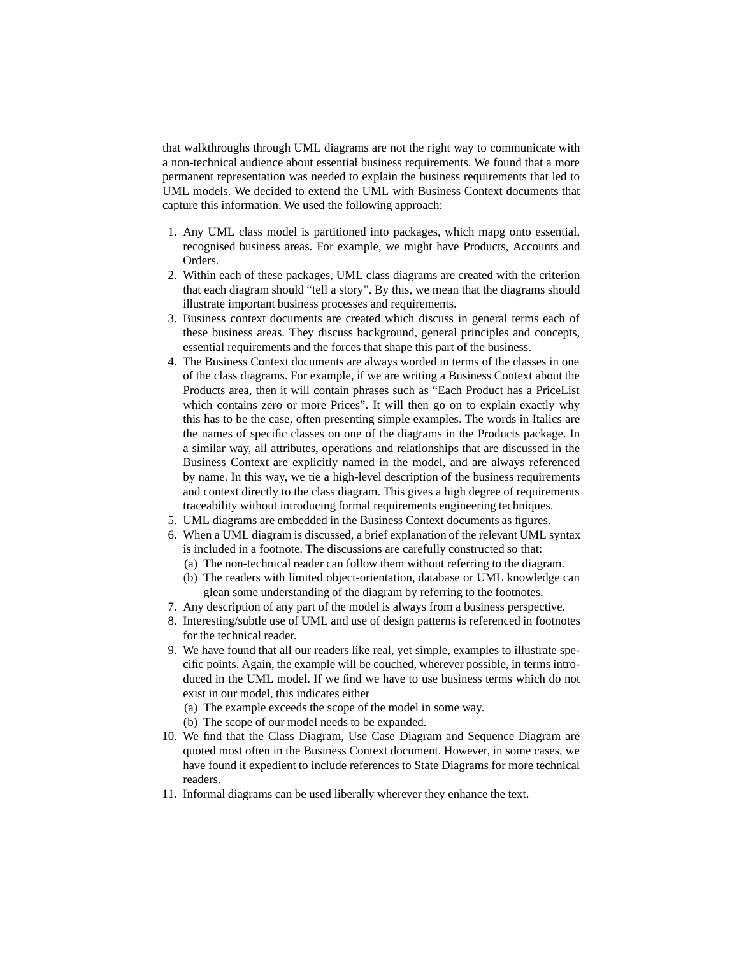that walkthroughs through UML diagrams are not the right way to communicate with a non-technical audience about essential business requirements. We found that a more permanent representation was needed to explain the business requirements that led to UML models. We decided to extend the UML with Business Context documents that capture this information. We used the following approach:

- 1. Any UML class model is partitioned into packages, which mapg onto essential, recognised business areas. For example, we might have Products, Accounts and Orders.
- 2. Within each of these packages, UML class diagrams are created with the criterion that each diagram should "tell a story". By this, we mean that the diagrams should illustrate important business processes and requirements.
- 3. Business context documents are created which discuss in general terms each of these business areas. They discuss background, general principles and concepts, essential requirements and the forces that shape this part of the business.
- 4. The Business Context documents are always worded in terms of the classes in one of the class diagrams. For example, if we are writing a Business Context about the Products area, then it will contain phrases such as "Each Product has a PriceList which contains zero or more Prices". It will then go on to explain exactly why this has to be the case, often presenting simple examples. The words in Italics are the names of specific classes on one of the diagrams in the Products package. In a similar way, all attributes, operations and relationships that are discussed in the Business Context are explicitly named in the model, and are always referenced by name. In this way, we tie a high-level description of the business requirements and context directly to the class diagram. This gives a high degree of requirements traceability without introducing formal requirements engineering techniques.
- 5. UML diagrams are embedded in the Business Context documents as figures.
- 6. When a UML diagram is discussed, a brief explanation of the relevant UML syntax is included in a footnote. The discussions are carefully constructed so that:
	- (a) The non-technical reader can follow them without referring to the diagram.
	- (b) The readers with limited object-orientation, database or UML knowledge can glean some understanding of the diagram by referring to the footnotes.
- 7. Any description of any part of the model is always from a business perspective.
- 8. Interesting/subtle use of UML and use of design patterns is referenced in footnotes for the technical reader.
- 9. We have found that all our readers like real, yet simple, examples to illustrate specific points. Again, the example will be couched, wherever possible, in terms introduced in the UML model. If we find we have to use business terms which do not exist in our model, this indicates either
	- (a) The example exceeds the scope of the model in some way.
	- (b) The scope of our model needs to be expanded.
- 10. We find that the Class Diagram, Use Case Diagram and Sequence Diagram are quoted most often in the Business Context document. However, in some cases, we have found it expedient to include references to State Diagrams for more technical readers.
- 11. Informal diagrams can be used liberally wherever they enhance the text.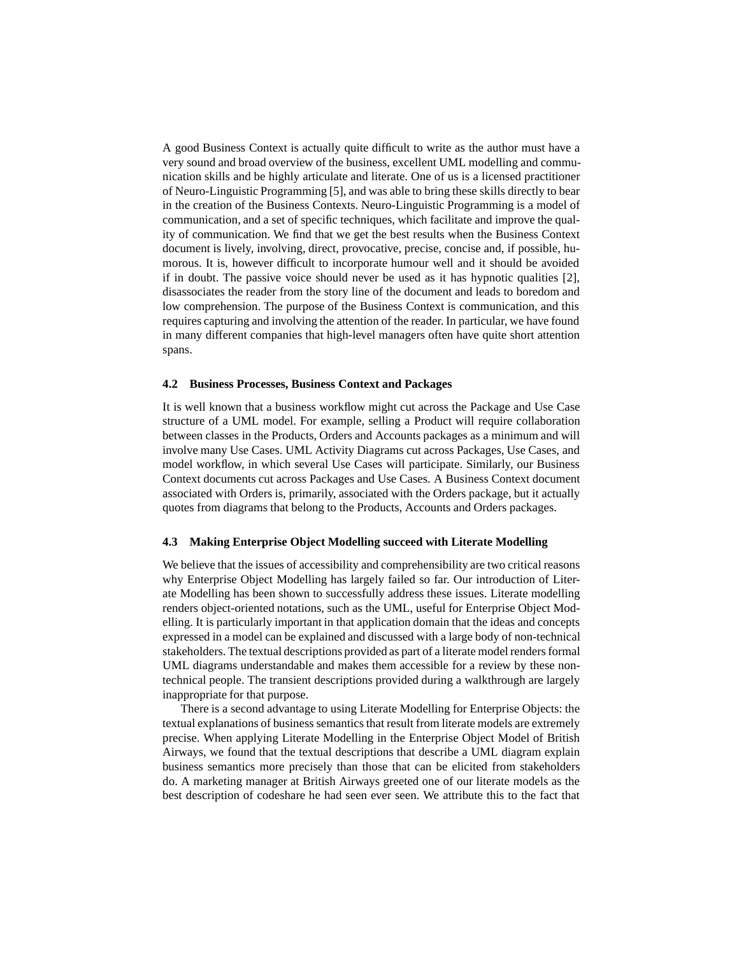A good Business Context is actually quite difficult to write as the author must have a very sound and broad overview of the business, excellent UML modelling and communication skills and be highly articulate and literate. One of us is a licensed practitioner of Neuro-Linguistic Programming [5], and was able to bring these skills directly to bear in the creation of the Business Contexts. Neuro-Linguistic Programming is a model of communication, and a set of specific techniques, which facilitate and improve the quality of communication. We find that we get the best results when the Business Context document is lively, involving, direct, provocative, precise, concise and, if possible, humorous. It is, however difficult to incorporate humour well and it should be avoided if in doubt. The passive voice should never be used as it has hypnotic qualities [2], disassociates the reader from the story line of the document and leads to boredom and low comprehension. The purpose of the Business Context is communication, and this requires capturing and involving the attention of the reader. In particular, we have found in many different companies that high-level managers often have quite short attention spans.

#### **4.2 Business Processes, Business Context and Packages**

It is well known that a business workflow might cut across the Package and Use Case structure of a UML model. For example, selling a Product will require collaboration between classes in the Products, Orders and Accounts packages as a minimum and will involve many Use Cases. UML Activity Diagrams cut across Packages, Use Cases, and model workflow, in which several Use Cases will participate. Similarly, our Business Context documents cut across Packages and Use Cases. A Business Context document associated with Orders is, primarily, associated with the Orders package, but it actually quotes from diagrams that belong to the Products, Accounts and Orders packages.

#### **4.3 Making Enterprise Object Modelling succeed with Literate Modelling**

We believe that the issues of accessibility and comprehensibility are two critical reasons why Enterprise Object Modelling has largely failed so far. Our introduction of Literate Modelling has been shown to successfully address these issues. Literate modelling renders object-oriented notations, such as the UML, useful for Enterprise Object Modelling. It is particularly important in that application domain that the ideas and concepts expressed in a model can be explained and discussed with a large body of non-technical stakeholders. The textual descriptions provided as part of a literate model renders formal UML diagrams understandable and makes them accessible for a review by these nontechnical people. The transient descriptions provided during a walkthrough are largely inappropriate for that purpose.

There is a second advantage to using Literate Modelling for Enterprise Objects: the textual explanations of business semantics that result from literate models are extremely precise. When applying Literate Modelling in the Enterprise Object Model of British Airways, we found that the textual descriptions that describe a UML diagram explain business semantics more precisely than those that can be elicited from stakeholders do. A marketing manager at British Airways greeted one of our literate models as the best description of codeshare he had seen ever seen. We attribute this to the fact that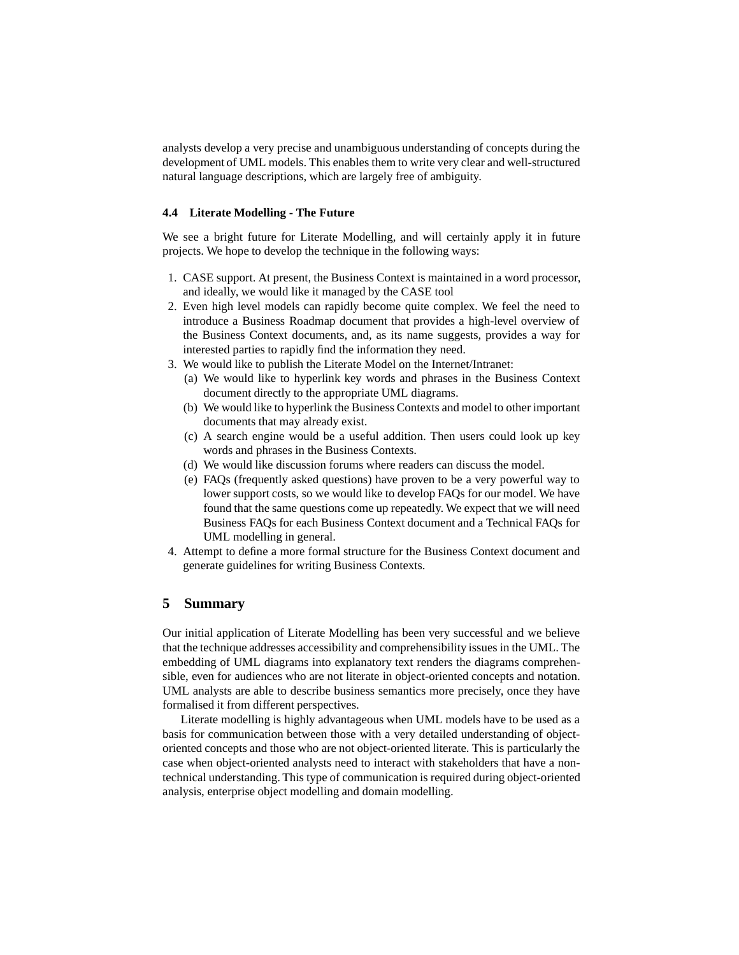analysts develop a very precise and unambiguous understanding of concepts during the development of UML models. This enables them to write very clear and well-structured natural language descriptions, which are largely free of ambiguity.

#### **4.4 Literate Modelling - The Future**

We see a bright future for Literate Modelling, and will certainly apply it in future projects. We hope to develop the technique in the following ways:

- 1. CASE support. At present, the Business Context is maintained in a word processor, and ideally, we would like it managed by the CASE tool
- 2. Even high level models can rapidly become quite complex. We feel the need to introduce a Business Roadmap document that provides a high-level overview of the Business Context documents, and, as its name suggests, provides a way for interested parties to rapidly find the information they need.
- 3. We would like to publish the Literate Model on the Internet/Intranet:
	- (a) We would like to hyperlink key words and phrases in the Business Context document directly to the appropriate UML diagrams.
	- (b) We would like to hyperlink the Business Contexts and model to other important documents that may already exist.
	- (c) A search engine would be a useful addition. Then users could look up key words and phrases in the Business Contexts.
	- (d) We would like discussion forums where readers can discuss the model.
	- (e) FAQs (frequently asked questions) have proven to be a very powerful way to lower support costs, so we would like to develop FAQs for our model. We have found that the same questions come up repeatedly. We expect that we will need Business FAQs for each Business Context document and a Technical FAQs for UML modelling in general.
- 4. Attempt to define a more formal structure for the Business Context document and generate guidelines for writing Business Contexts.

## **5 Summary**

Our initial application of Literate Modelling has been very successful and we believe that the technique addresses accessibility and comprehensibility issues in the UML. The embedding of UML diagrams into explanatory text renders the diagrams comprehensible, even for audiences who are not literate in object-oriented concepts and notation. UML analysts are able to describe business semantics more precisely, once they have formalised it from different perspectives.

Literate modelling is highly advantageous when UML models have to be used as a basis for communication between those with a very detailed understanding of objectoriented concepts and those who are not object-oriented literate. This is particularly the case when object-oriented analysts need to interact with stakeholders that have a nontechnical understanding. This type of communication is required during object-oriented analysis, enterprise object modelling and domain modelling.